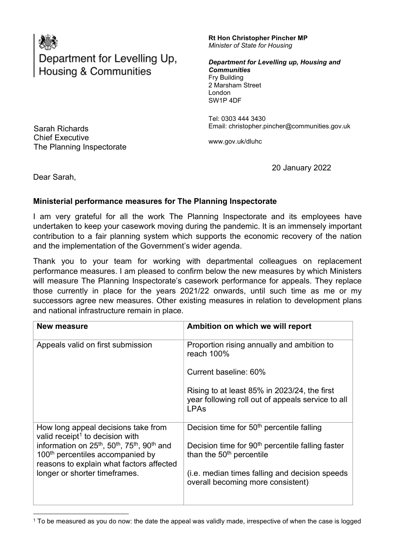

## Department for Levelling Up, Housing & Communities

## Rt Hon Christopher Pincher MP Minister of State for Housing

 Fry Building 2 Marsham Street Department for Levelling up, Housing and **Communities** London SW1P 4DF

 Tel: 0303 444 3430 Email: christopher.pincher@communities.gov.uk

Chief Executive <www.gov.uk/dluhc> The Planning Inspectorate

20 January 2022

Sarah Richards **Chief Executive** 

Dear Sarah,

## Ministerial performance measures for The Planning Inspectorate

 I am very grateful for all the work The Planning Inspectorate and its employees have undertaken to keep your casework moving during the pandemic. It is an immensely important contribution to a fair planning system which supports the economic recovery of the nation and the implementation of the Government's wider agenda.

 Thank you to your team for working with departmental colleagues on replacement performance measures. I am pleased to confirm below the new measures by which Ministers will measure The Planning Inspectorate's casework performance for appeals. They replace those currently in place for the years 2021/22 onwards, until such time as me or my successors agree new measures. Other existing measures in relation to development plans and national infrastructure remain in place.

| New measure                                                                                                                                                                        | Ambition on which we will report                                                                                      |
|------------------------------------------------------------------------------------------------------------------------------------------------------------------------------------|-----------------------------------------------------------------------------------------------------------------------|
| Appeals valid on first submission                                                                                                                                                  | Proportion rising annually and ambition to<br>reach 100%                                                              |
|                                                                                                                                                                                    | Current baseline: 60%                                                                                                 |
|                                                                                                                                                                                    | Rising to at least 85% in 2023/24, the first<br>year following roll out of appeals service to all<br><b>LPAs</b>      |
| How long appeal decisions take from<br>valid receipt <sup>1</sup> to decision with<br>information on 25 <sup>th</sup> , 50 <sup>th</sup> , 75 <sup>th</sup> , 90 <sup>th</sup> and | Decision time for 50 <sup>th</sup> percentile falling<br>Decision time for 90 <sup>th</sup> percentile falling faster |
| 100 <sup>th</sup> percentiles accompanied by<br>reasons to explain what factors affected                                                                                           | than the 50 <sup>th</sup> percentile                                                                                  |
| longer or shorter timeframes.                                                                                                                                                      | (i.e. median times falling and decision speeds<br>overall becoming more consistent)                                   |

 $^{\rm 1}$  To be measured as you do now: the date the appeal was validly made, irrespective of when the case is logged